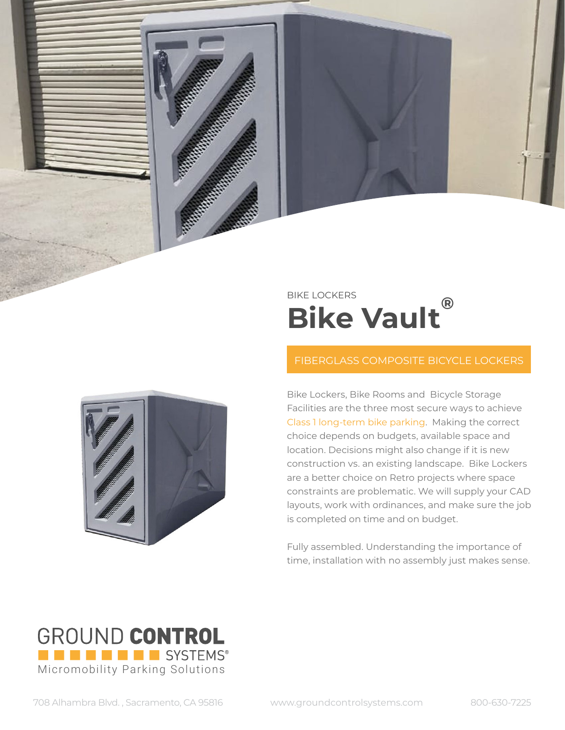

## FIBERGLASS COMPOSITE BICYCLE LOCKERS

Bike Lockers, Bike Rooms and Bicycle Storage Facilities are the three most secure ways to achieve Class 1 long-term bike parking. Making the correct choice depends on budgets, available space and location. Decisions might also change if it is new construction vs. an existing landscape. Bike Lockers are a better choice on Retro projects where space constraints are problematic. We will supply your CAD layouts, work with ordinances, and make sure the job is completed on time and on budget.

Fully assembled. Understanding the importance of time, installation with no assembly just makes sense.